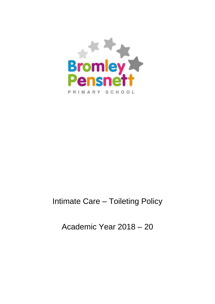

## Intimate Care – Toileting Policy

Academic Year 2018 – 20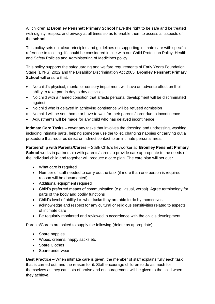All children at **Bromley Pensnett Primary School** have the right to be safe and be treated with dignity, respect and privacy at all times so as to enable them to access all aspects of the **school.**

This policy sets out clear principles and guidelines on supporting intimate care with specific reference to toileting. If should be considered in line with our Child Protection Policy, Health and Safety Policies and Administering of Medicines policy.

This policy supports the safeguarding and welfare requirements of Early Years Foundation Stage (EYFS) 2012 and the Disability Discrimination Act 2005: **Bromley Pensnett Primary School** will ensure that:

- No child's physical, mental or sensory impairment will have an adverse effect on their ability to take part in day to day activities.
- No child with a named condition that affects personal development will be discriminated against
- No child who is delayed in achieving continence will be refused admission
- No child will be sent home or have to wait for their parents/carer due to incontinence
- Adjustments will be made for any child who has delayed incontinence

**Intimate Care Tasks –** cover any tasks that involves the dressing and undressing, washing including intimate parts, helping someone use the toilet, changing nappies or carrying out a procedure that requires direct or indirect contact to an intimate personal area.

**Partnership with Parents/Carers** – Staff/ Child's keyworker at **Bromley Pensnett Primary School** works in partnership with parents/carers to provide care appropriate to the needs of the individual child and together will produce a care plan. The care plan will set out :

- What care is required
- Number of staff needed to carry out the task (if more than one person is required , reason will be documented)
- Additional equipment required
- Child's preferred means of communication (e.g. visual, verbal). Agree terminology for parts of the body and bodily functions
- Child's level of ability i.e. what tasks they are able to do by themselves
- acknowledge and respect for any cultural or religious sensitivities related to aspects of intimate care
- Be regularly monitored and reviewed in accordance with the child's development

Parents/Carers are asked to supply the following (delete as appropriate):-

- Spare nappies
- Wipes, creams, nappy sacks etc
- Spare Clothes
- Spare underwear

**Best Practice –** When intimate care is given, the member of staff explains fully each task that is carried out, and the reason for it. Staff encourage children to do as much for themselves as they can, lots of praise and encouragement will be given to the child when they achieve.